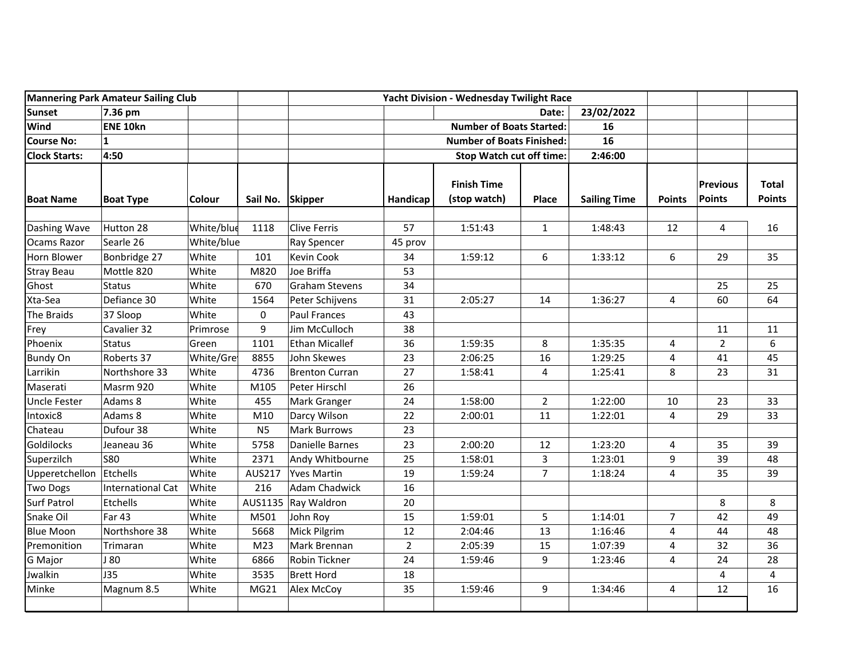| <b>Mannering Park Amateur Sailing Club</b> |                          |               | Yacht Division - Wednesday Twilight Race |                       |                                  |                                    |                |                     |                |                           |                               |
|--------------------------------------------|--------------------------|---------------|------------------------------------------|-----------------------|----------------------------------|------------------------------------|----------------|---------------------|----------------|---------------------------|-------------------------------|
| <b>Sunset</b>                              | 7.36 pm                  |               |                                          |                       |                                  | Date:                              |                | 23/02/2022          |                |                           |                               |
| Wind                                       | ENE 10kn                 |               |                                          |                       |                                  | <b>Number of Boats Started:</b>    |                | 16                  |                |                           |                               |
| <b>Course No:</b>                          | $\mathbf{1}$             |               |                                          |                       | <b>Number of Boats Finished:</b> |                                    | 16             |                     |                |                           |                               |
| <b>Clock Starts:</b>                       | 4:50                     |               |                                          |                       |                                  | <b>Stop Watch cut off time:</b>    |                | 2:46:00             |                |                           |                               |
| <b>Boat Name</b>                           | <b>Boat Type</b>         | <b>Colour</b> | Sail No. Skipper                         |                       | Handicap                         | <b>Finish Time</b><br>(stop watch) | Place          | <b>Sailing Time</b> | <b>Points</b>  | <b>Previous</b><br>Points | <b>Total</b><br><b>Points</b> |
| Dashing Wave                               | Hutton 28                | White/blue    | 1118                                     | <b>Clive Ferris</b>   | 57                               | 1:51:43                            | $\mathbf{1}$   | 1:48:43             | 12             | 4                         | 16                            |
| Ocams Razor                                | Searle 26                | White/blue    |                                          | <b>Ray Spencer</b>    | 45 prov                          |                                    |                |                     |                |                           |                               |
| Horn Blower                                | Bonbridge 27             | White         | 101                                      | <b>Kevin Cook</b>     | 34                               | 1:59:12                            | 6              | 1:33:12             | 6              | 29                        | 35                            |
| <b>Stray Beau</b>                          | Mottle 820               | White         | M820                                     | Joe Briffa            | 53                               |                                    |                |                     |                |                           |                               |
| Ghost                                      | <b>Status</b>            | White         | 670                                      | <b>Graham Stevens</b> | 34                               |                                    |                |                     |                | 25                        | 25                            |
| Xta-Sea                                    | Defiance 30              | White         | 1564                                     | Peter Schijvens       | 31                               | 2:05:27                            | 14             | 1:36:27             | 4              | 60                        | 64                            |
| The Braids                                 | 37 Sloop                 | White         | 0                                        | <b>Paul Frances</b>   | 43                               |                                    |                |                     |                |                           |                               |
| Frey                                       | Cavalier 32              | Primrose      | 9                                        | Jim McCulloch         | 38                               |                                    |                |                     |                | 11                        | 11                            |
| Phoenix                                    | <b>Status</b>            | Green         | 1101                                     | <b>Ethan Micallef</b> | 36                               | 1:59:35                            | 8              | 1:35:35             | 4              | $\overline{2}$            | 6                             |
| <b>Bundy On</b>                            | Roberts 37               | White/Gre     | 8855                                     | John Skewes           | 23                               | 2:06:25                            | 16             | 1:29:25             | 4              | 41                        | 45                            |
| Larrikin                                   | Northshore 33            | White         | 4736                                     | <b>Brenton Curran</b> | 27                               | 1:58:41                            | 4              | 1:25:41             | 8              | 23                        | 31                            |
| Maserati                                   | Masrm 920                | White         | M105                                     | Peter Hirschl         | 26                               |                                    |                |                     |                |                           |                               |
| <b>Uncle Fester</b>                        | Adams 8                  | White         | 455                                      | Mark Granger          | 24                               | 1:58:00                            | $\overline{2}$ | 1:22:00             | 10             | 23                        | 33                            |
| Intoxic8                                   | Adams 8                  | White         | M10                                      | Darcy Wilson          | 22                               | 2:00:01                            | 11             | 1:22:01             | 4              | 29                        | 33                            |
| Chateau                                    | Dufour 38                | White         | N <sub>5</sub>                           | <b>Mark Burrows</b>   | 23                               |                                    |                |                     |                |                           |                               |
| <b>Goldilocks</b>                          | Jeaneau 36               | White         | 5758                                     | Danielle Barnes       | 23                               | 2:00:20                            | 12             | 1:23:20             | 4              | 35                        | 39                            |
| Superzilch                                 | <b>S80</b>               | White         | 2371                                     | Andy Whitbourne       | 25                               | 1:58:01                            | 3              | 1:23:01             | 9              | 39                        | 48                            |
| Upperetchellon                             | Etchells                 | White         | AUS217                                   | <b>Yves Martin</b>    | 19                               | 1:59:24                            | $\overline{7}$ | 1:18:24             | 4              | 35                        | 39                            |
| <b>Two Dogs</b>                            | <b>International Cat</b> | White         | 216                                      | <b>Adam Chadwick</b>  | 16                               |                                    |                |                     |                |                           |                               |
| <b>Surf Patrol</b>                         | Etchells                 | White         | AUS1135                                  | Ray Waldron           | 20                               |                                    |                |                     |                | 8                         | 8                             |
| Snake Oil                                  | <b>Far 43</b>            | White         | M501                                     | John Roy              | 15                               | 1:59:01                            | 5              | 1:14:01             | $\overline{7}$ | 42                        | 49                            |
| <b>Blue Moon</b>                           | Northshore 38            | White         | 5668                                     | Mick Pilgrim          | 12                               | 2:04:46                            | 13             | 1:16:46             | 4              | 44                        | 48                            |
| Premonition                                | Trimaran                 | White         | M <sub>23</sub>                          | Mark Brennan          | $\overline{2}$                   | 2:05:39                            | 15             | 1:07:39             | 4              | 32                        | 36                            |
| G Major                                    | J 80                     | White         | 6866                                     | Robin Tickner         | 24                               | 1:59:46                            | 9              | 1:23:46             | 4              | 24                        | 28                            |
| Jwalkin                                    | <b>J35</b>               | White         | 3535                                     | <b>Brett Hord</b>     | 18                               |                                    |                |                     |                | 4                         | 4                             |
| Minke                                      | Magnum 8.5               | White         | MG21                                     | Alex McCoy            | 35                               | 1:59:46                            | 9              | 1:34:46             | 4              | 12                        | 16                            |